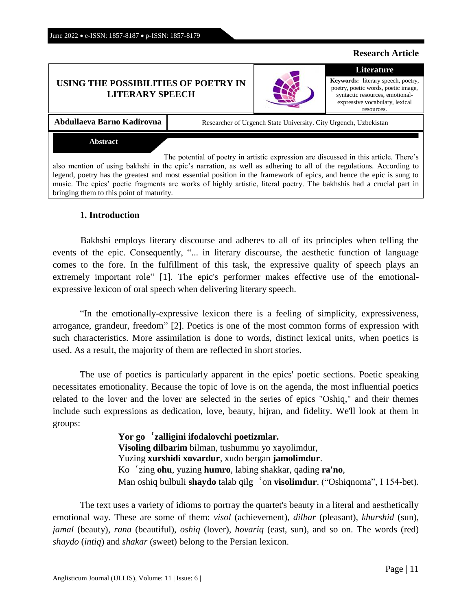Anglisticum Journal (IJLLIS)*,* Volume: 11 | Issue: 6 |

### June 2022 • e-ISSN: 1857-8187 • p-ISSN: 1857-8179

# **USING THE POSSIBILITIES OF POETRY IN LITERARY SPEECH**

Abdullaeva Barno Kadirovna **Researcher of Urgench State University.** City Urgench, Uzbekistan

### **Abstract**

The potential of poetry in artistic expression are discussed in this article. There's also mention of using bakhshi in the epic's narration, as well as adhering to all of the regulations. According to legend, poetry has the greatest and most essential position in the framework of epics, and hence the epic is sung to music. The epics' poetic fragments are works of highly artistic, literal poetry. The bakhshis had a crucial part in bringing them to this point of maturity.

# **1. Introduction**

Bakhshi employs literary discourse and adheres to all of its principles when telling the events of the epic. Consequently, "... in literary discourse, the aesthetic function of language comes to the fore. In the fulfillment of this task, the expressive quality of speech plays an extremely important role" [1]. The epic's performer makes effective use of the emotionalexpressive lexicon of oral speech when delivering literary speech.

"In the emotionally-expressive lexicon there is a feeling of simplicity, expressiveness, arrogance, grandeur, freedom" [2]. Poetics is one of the most common forms of expression with such characteristics. More assimilation is done to words, distinct lexical units, when poetics is used. As a result, the majority of them are reflected in short stories.

The use of poetics is particularly apparent in the epics' poetic sections. Poetic speaking necessitates emotionality. Because the topic of love is on the agenda, the most influential poetics related to the lover and the lover are selected in the series of epics "Oshiq," and their themes include such expressions as dedication, love, beauty, hijran, and fidelity. We'll look at them in groups:

> **Yor go**'**zalligini ifodalovchi poetizmlar. Visoling dilbarim** bilman, tushummu yo xayolimdur, Yuzing **xurshidi xovardur**, xudo bergan **jamolimdur**. Ko'zing **ohu**, yuzing **humro**, labing shakkar, qading **ra'no**, Man oshiq bulbuli **shaydo** talab qilg'on **visolimdur**. ("Oshiqnoma", I 154-bet).

The text uses a variety of idioms to portray the quartet's beauty in a literal and aesthetically emotional way. These are some of them: *visol* (achievement), *dilbar* (pleasant), *khurshid* (sun), *jamal* (beauty), *rana* (beautiful), *oshiq* (lover), *hovariq* (east, sun), and so on. The words (red) *shaydo* (*intiq*) and *shakar* (sweet) belong to the Persian lexicon.



**Research Article**

### **Literature Keywords:** literary speech, poetry,

poetry, poetic words, poetic image, syntactic resources, emotionalexpressive vocabulary, lexical resources.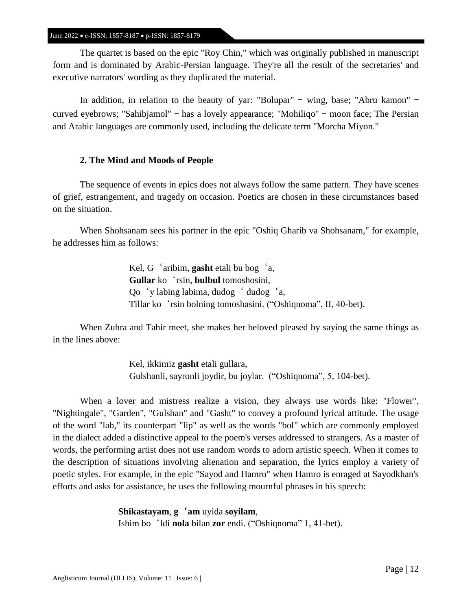The quartet is based on the epic "Roy Chin," which was originally published in manuscript form and is dominated by Arabic-Persian language. They're all the result of the secretaries' and executive narrators' wording as they duplicated the material.

In addition, in relation to the beauty of yar: "Bolupar" – wing, base; "Abru kamon" – curved eyebrows; "Sahibjamol" – has a lovely appearance; "Mohiliqo" – moon face; The Persian and Arabic languages are commonly used, including the delicate term "Morcha Miyon."

# **2. The Mind and Moods of People**

The sequence of events in epics does not always follow the same pattern. They have scenes of grief, estrangement, and tragedy on occasion. Poetics are chosen in these circumstances based on the situation.

When Shohsanam sees his partner in the epic "Oshiq Gharib va Shohsanam," for example, he addresses him as follows:

> Kel, G'aribim, **gasht** etali bu bog'a, **Gullar** ko'rsin, **bulbul** tomoshosini, Qo'y labing labima, dudog' dudog'a, Tillar ko'rsin bolning tomoshasini. ("Oshiqnoma", II, 40-bet).

When Zuhra and Tahir meet, she makes her beloved pleased by saying the same things as in the lines above:

> Kel, ikkimiz **gasht** etali gullara, Gulshanli, sayronli joydir, bu joylar. ("Oshiqnoma", 5, 104-bet).

When a lover and mistress realize a vision, they always use words like: "Flower", "Nightingale", "Garden", "Gulshan" and "Gasht" to convey a profound lyrical attitude. The usage of the word "lab," its counterpart "lip" as well as the words "bol" which are commonly employed in the dialect added a distinctive appeal to the poem's verses addressed to strangers. As a master of words, the performing artist does not use random words to adorn artistic speech. When it comes to the description of situations involving alienation and separation, the lyrics employ a variety of poetic styles. For example, in the epic "Sayod and Hamro" when Hamro is enraged at Sayodkhan's efforts and asks for assistance, he uses the following mournful phrases in his speech:

> **Shikastayam**, **g**'**am** uyida **soyilam**, Ishim bo'ldi **nola** bilan **zor** endi. ("Oshiqnoma" 1, 41-bet).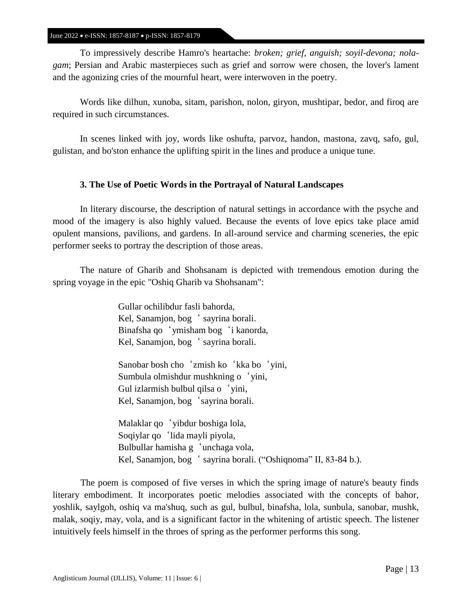To impressively describe Hamro's heartache: *broken; grief, anguish; soyil-devona; nolagam*; Persian and Arabic masterpieces such as grief and sorrow were chosen, the lover's lament and the agonizing cries of the mournful heart, were interwoven in the poetry.

Words like dilhun, xunoba, sitam, parishon, nolon, giryon, mushtipar, bedor, and firoq are required in such circumstances.

In scenes linked with joy, words like oshufta, parvoz, handon, mastona, zavq, safo, gul, gulistan, and bo'ston enhance the uplifting spirit in the lines and produce a unique tune.

# **3. The Use of Poetic Words in the Portrayal of Natural Landscapes**

In literary discourse, the description of natural settings in accordance with the psyche and mood of the imagery is also highly valued. Because the events of love epics take place amid opulent mansions, pavilions, and gardens. In all-around service and charming sceneries, the epic performer seeks to portray the description of those areas.

The nature of Gharib and Shohsanam is depicted with tremendous emotion during the spring voyage in the epic "Oshiq Gharib va Shohsanam":

> Gullar ochilibdur fasli bahorda, Kel, Sanamjon, bog ' sayrina borali. Binafsha qo'ymisham bog'i kanorda, Kel, Sanamjon, bog ' sayrina borali.

Sanobar bosh cho 'zmish ko 'kka bo 'yini, Sumbula olmishdur mushkning o'yini, Gul izlarmish bulbul qilsa o'yini, Kel, Sanamjon, bog 'sayrina borali.

Malaklar qo'yibdur boshiga lola, Soqiylar qo'lida mayli piyola, Bulbullar hamisha g'unchaga vola, Kel, Sanamjon, bog' sayrina borali. ("Oshiqnoma" II, 83-84 b.).

The poem is composed of five verses in which the spring image of nature's beauty finds literary embodiment. It incorporates poetic melodies associated with the concepts of bahor, yoshlik, saylgoh, oshiq va ma'shuq, such as gul, bulbul, binafsha, lola, sunbula, sanobar, mushk, malak, soqiy, may, vola, and is a significant factor in the whitening of artistic speech. The listener intuitively feels himself in the throes of spring as the performer performs this song.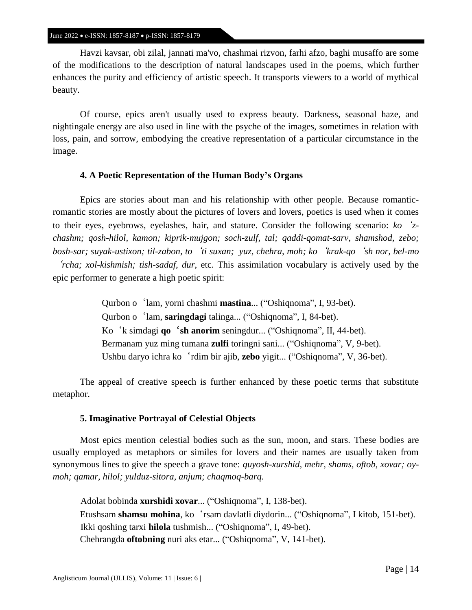Havzi kavsar, obi zilal, jannati ma'vo, chashmai rizvon, farhi afzo, baghi musaffo are some of the modifications to the description of natural landscapes used in the poems, which further enhances the purity and efficiency of artistic speech. It transports viewers to a world of mythical beauty.

Of course, epics aren't usually used to express beauty. Darkness, seasonal haze, and nightingale energy are also used in line with the psyche of the images, sometimes in relation with loss, pain, and sorrow, embodying the creative representation of a particular circumstance in the image.

# **4. A Poetic Representation of the Human Body's Organs**

Epics are stories about man and his relationship with other people. Because romanticromantic stories are mostly about the pictures of lovers and lovers, poetics is used when it comes to their eyes, eyebrows, eyelashes, hair, and stature. Consider the following scenario: *ko*'*zchashm; qosh-hilol, kamon; kiprik-mujgon; soch-zulf, tal; qaddi-qomat-sarv, shamshod, zebo; bosh-sar; suyak-ustixon; til-zabon, to*'*ti suxan; yuz, chehra, moh; ko*'*krak-qo*'*sh nor, bel-mo*

'*rcha; xol-kishmish; tish-sadaf, dur*, etc. This assimilation vocabulary is actively used by the epic performer to generate a high poetic spirit:

> Qurbon o'lam, yorni chashmi **mastina**... ("Oshiqnoma", I, 93-bet). Qurbon o'lam, **saringdagi** talinga... ("Oshiqnoma", I, 84-bet). Ko'k simdagi **qo**'**sh anorim** seningdur... ("Oshiqnoma", II, 44-bet). Bermanam yuz ming tumana **zulfi** toringni sani... ("Oshiqnoma", V, 9-bet). Ushbu daryo ichra ko'rdim bir ajib, **zebo** yigit... ("Oshiqnoma", V, 36-bet).

The appeal of creative speech is further enhanced by these poetic terms that substitute metaphor.

### **5. Imaginative Portrayal of Celestial Objects**

Most epics mention celestial bodies such as the sun, moon, and stars. These bodies are usually employed as metaphors or similes for lovers and their names are usually taken from synonymous lines to give the speech a grave tone: *quyosh-xurshid, mehr, shams, oftob, xovar; oymoh; qamar, hilol; yulduz-sitora, anjum; chaqmoq-barq.*

Adolat bobinda **xurshidi xovar**... ("Oshiqnoma", I, 138-bet). Etushsam **shamsu mohina**, ko'rsam davlatli diydorin... ("Oshiqnoma", I kitob, 151-bet). Ikki qoshing tarxi **hilola** tushmish... ("Oshiqnoma", I, 49-bet). Chehrangda **oftobning** nuri aks etar... ("Oshiqnoma", V, 141-bet).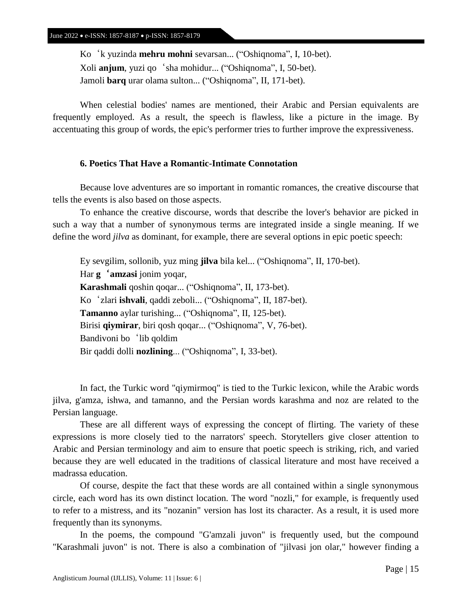Ko'k yuzinda **mehru mohni** sevarsan... ("Oshiqnoma", I, 10-bet). Xoli **anjum**, yuzi qo'sha mohidur... ("Oshiqnoma", I, 50-bet). Jamoli **barq** urar olama sulton... ("Oshiqnoma", II, 171-bet).

When celestial bodies' names are mentioned, their Arabic and Persian equivalents are frequently employed. As a result, the speech is flawless, like a picture in the image. By accentuating this group of words, the epic's performer tries to further improve the expressiveness.

# **6. Poetics That Have a Romantic-Intimate Connotation**

Because love adventures are so important in romantic romances, the creative discourse that tells the events is also based on those aspects.

To enhance the creative discourse, words that describe the lover's behavior are picked in such a way that a number of synonymous terms are integrated inside a single meaning. If we define the word *jilva* as dominant, for example, there are several options in epic poetic speech:

Ey sevgilim, sollonib, yuz ming **jilva** bila kel... ("Oshiqnoma", II, 170-bet). Har **g**'**amzasi** jonim yoqar, **Karashmali** qoshin qoqar... ("Oshiqnoma", II, 173-bet). Ko'zlari **ishvali**, qaddi zeboli... ("Oshiqnoma", II, 187-bet). **Tamanno** aylar turishing... ("Oshiqnoma", II, 125-bet). Birisi **qiymirar**, biri qosh qoqar... ("Oshiqnoma", V, 76-bet). Bandivoni bo 'lib qoldim Bir qaddi dolli **nozlining**... ("Oshiqnoma", I, 33-bet).

In fact, the Turkic word "qiymirmoq" is tied to the Turkic lexicon, while the Arabic words jilva, g'amza, ishwa, and tamanno, and the Persian words karashma and noz are related to the Persian language.

These are all different ways of expressing the concept of flirting. The variety of these expressions is more closely tied to the narrators' speech. Storytellers give closer attention to Arabic and Persian terminology and aim to ensure that poetic speech is striking, rich, and varied because they are well educated in the traditions of classical literature and most have received a madrassa education.

Of course, despite the fact that these words are all contained within a single synonymous circle, each word has its own distinct location. The word "nozli," for example, is frequently used to refer to a mistress, and its "nozanin" version has lost its character. As a result, it is used more frequently than its synonyms.

In the poems, the compound "G'amzali juvon" is frequently used, but the compound "Karashmali juvon" is not. There is also a combination of "jilvasi jon olar," however finding a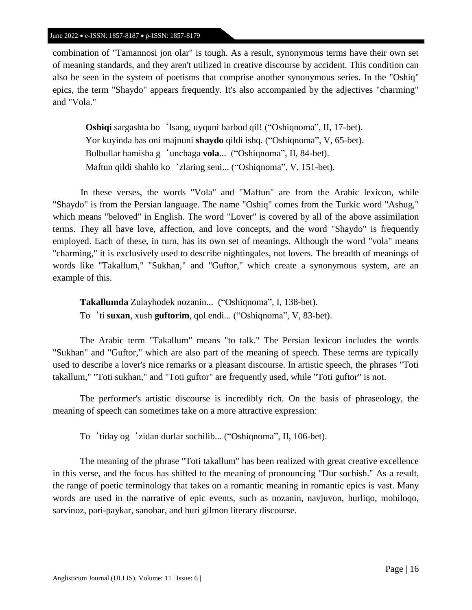combination of "Tamannosi jon olar" is tough. As a result, synonymous terms have their own set of meaning standards, and they aren't utilized in creative discourse by accident. This condition can also be seen in the system of poetisms that comprise another synonymous series. In the "Oshiq" epics, the term "Shaydo" appears frequently. It's also accompanied by the adjectives "charming" and "Vola."

**Oshiqi** sargashta bo'lsang, uyquni barbod qil! ("Oshiqnoma", II, 17-bet). Yor kuyinda bas oni majnuni **shaydo** qildi ishq. ("Oshiqnoma", V, 65-bet). Bulbullar hamisha g'unchaga **vola**... ("Oshiqnoma", II, 84-bet). Maftun qildi shahlo ko'zlaring seni... ("Oshiqnoma", V, 151-bet).

In these verses, the words "Vola" and "Maftun" are from the Arabic lexicon, while "Shaydo" is from the Persian language. The name "Oshiq" comes from the Turkic word "Ashug," which means "beloved" in English. The word "Lover" is covered by all of the above assimilation terms. They all have love, affection, and love concepts, and the word "Shaydo" is frequently employed. Each of these, in turn, has its own set of meanings. Although the word "vola" means "charming," it is exclusively used to describe nightingales, not lovers. The breadth of meanings of words like "Takallum," "Sukhan," and "Guftor," which create a synonymous system, are an example of this.

**Takallumda** Zulayhodek nozanin... ("Oshiqnoma", I, 138-bet). To'ti **suxan**, xush **guftorim**, qol endi... ("Oshiqnoma", V, 83-bet).

The Arabic term "Takallum" means "to talk." The Persian lexicon includes the words "Sukhan" and "Guftor," which are also part of the meaning of speech. These terms are typically used to describe a lover's nice remarks or a pleasant discourse. In artistic speech, the phrases "Toti takallum," "Toti sukhan," and "Toti guftor" are frequently used, while "Toti guftor" is not.

The performer's artistic discourse is incredibly rich. On the basis of phraseology, the meaning of speech can sometimes take on a more attractive expression:

To'tiday og'zidan durlar sochilib... ("Oshiqnoma", II, 106-bet).

The meaning of the phrase "Toti takallum" has been realized with great creative excellence in this verse, and the focus has shifted to the meaning of pronouncing "Dur sochish." As a result, the range of poetic terminology that takes on a romantic meaning in romantic epics is vast. Many words are used in the narrative of epic events, such as nozanin, navjuvon, hurliqo, mohiloqo, sarvinoz, pari-paykar, sanobar, and huri gilmon literary discourse.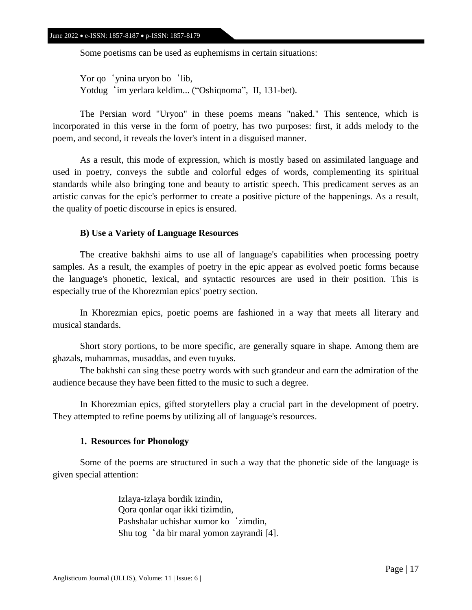Some poetisms can be used as euphemisms in certain situations:

Yor qo 'ynina uryon bo 'lib, Yotdug 'im yerlara keldim... ("Oshiqnoma", II, 131-bet).

The Persian word "Uryon" in these poems means "naked." This sentence, which is incorporated in this verse in the form of poetry, has two purposes: first, it adds melody to the poem, and second, it reveals the lover's intent in a disguised manner.

As a result, this mode of expression, which is mostly based on assimilated language and used in poetry, conveys the subtle and colorful edges of words, complementing its spiritual standards while also bringing tone and beauty to artistic speech. This predicament serves as an artistic canvas for the epic's performer to create a positive picture of the happenings. As a result, the quality of poetic discourse in epics is ensured.

### **B) Use a Variety of Language Resources**

The creative bakhshi aims to use all of language's capabilities when processing poetry samples. As a result, the examples of poetry in the epic appear as evolved poetic forms because the language's phonetic, lexical, and syntactic resources are used in their position. This is especially true of the Khorezmian epics' poetry section.

In Khorezmian epics, poetic poems are fashioned in a way that meets all literary and musical standards.

Short story portions, to be more specific, are generally square in shape. Among them are ghazals, muhammas, musaddas, and even tuyuks.

The bakhshi can sing these poetry words with such grandeur and earn the admiration of the audience because they have been fitted to the music to such a degree.

In Khorezmian epics, gifted storytellers play a crucial part in the development of poetry. They attempted to refine poems by utilizing all of language's resources.

### **1. Resources for Phonology**

Some of the poems are structured in such a way that the phonetic side of the language is given special attention:

> Izlaya-izlaya bordik izindin, Qora qonlar oqar ikki tizimdin, Pashshalar uchishar xumor ko 'zimdin, Shu tog'da bir maral yomon zayrandi [4].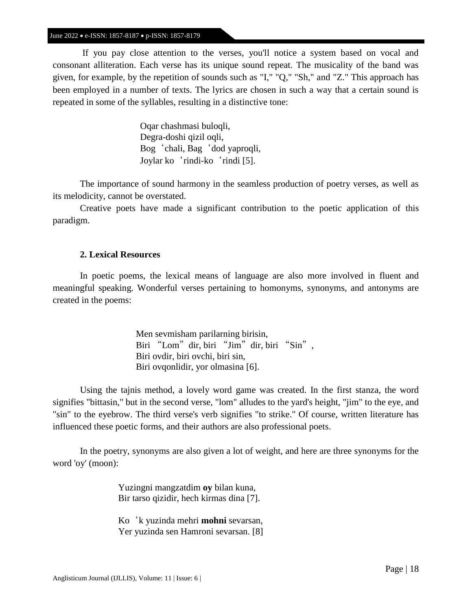If you pay close attention to the verses, you'll notice a system based on vocal and consonant alliteration. Each verse has its unique sound repeat. The musicality of the band was given, for example, by the repetition of sounds such as "I," "Q," "Sh," and "Z." This approach has been employed in a number of texts. The lyrics are chosen in such a way that a certain sound is repeated in some of the syllables, resulting in a distinctive tone:

> Oqar chashmasi buloqli, Degra-doshi qizil oqli, Bog'chali, Bag'dod yaproqli, Joylar ko'rindi-ko'rindi [5].

The importance of sound harmony in the seamless production of poetry verses, as well as its melodicity, cannot be overstated.

Creative poets have made a significant contribution to the poetic application of this paradigm.

# **2. Lexical Resources**

In poetic poems, the lexical means of language are also more involved in fluent and meaningful speaking. Wonderful verses pertaining to homonyms, synonyms, and antonyms are created in the poems:

> Men sevmisham parilarning birisin, Biri "Lom" dir, biri "Jim" dir, biri "Sin", Biri ovdir, biri ovchi, biri sin, Biri ovqonlidir, yor olmasina [6].

Using the tajnis method, a lovely word game was created. In the first stanza, the word signifies "bittasin," but in the second verse, "lom" alludes to the yard's height, "jim" to the eye, and "sin" to the eyebrow. The third verse's verb signifies "to strike." Of course, written literature has influenced these poetic forms, and their authors are also professional poets.

In the poetry, synonyms are also given a lot of weight, and here are three synonyms for the word 'oy' (moon):

> Yuzingni mangzatdim **oy** bilan kuna, Bir tarso qizidir, hech kirmas dina [7].

Ko'k yuzinda mehri **mohni** sevarsan, Yer yuzinda sen Hamroni sevarsan. [8]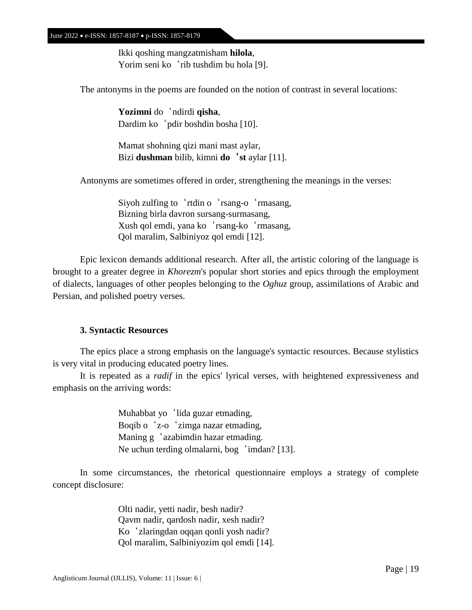Ikki qoshing mangzatmisham **hilola**, Yorim seni ko 'rib tushdim bu hola [9].

The antonyms in the poems are founded on the notion of contrast in several locations:

**Yozimni** do'ndirdi **qisha**, Dardim ko 'pdir boshdin bosha [10].

Mamat shohning qizi mani mast aylar, Bizi **dushman** bilib, kimni **do**'**st** aylar [11].

Antonyms are sometimes offered in order, strengthening the meanings in the verses:

Siyoh zulfing to 'rtdin o 'rsang-o 'rmasang, Bizning birla davron sursang-surmasang, Xush qol emdi, yana ko'rsang-ko'rmasang, Qol maralim, Salbiniyoz qol emdi [12].

Epic lexicon demands additional research. After all, the artistic coloring of the language is brought to a greater degree in *Khorezm*'s popular short stories and epics through the employment of dialects, languages of other peoples belonging to the *Oghuz* group, assimilations of Arabic and Persian, and polished poetry verses.

### **3. Syntactic Resources**

The epics place a strong emphasis on the language's syntactic resources. Because stylistics is very vital in producing educated poetry lines.

It is repeated as a *radif* in the epics' lyrical verses, with heightened expressiveness and emphasis on the arriving words:

> Muhabbat yo 'lida guzar etmading, Boqib o'z-o'zimga nazar etmading, Maning g 'azabimdin hazar etmading. Ne uchun terding olmalarni, bog 'imdan? [13].

In some circumstances, the rhetorical questionnaire employs a strategy of complete concept disclosure:

> Olti nadir, yetti nadir, besh nadir? Qavm nadir, qardosh nadir, xesh nadir? Ko'zlaringdan oqqan qonli yosh nadir? Qol maralim, Salbiniyozim qol emdi [14].